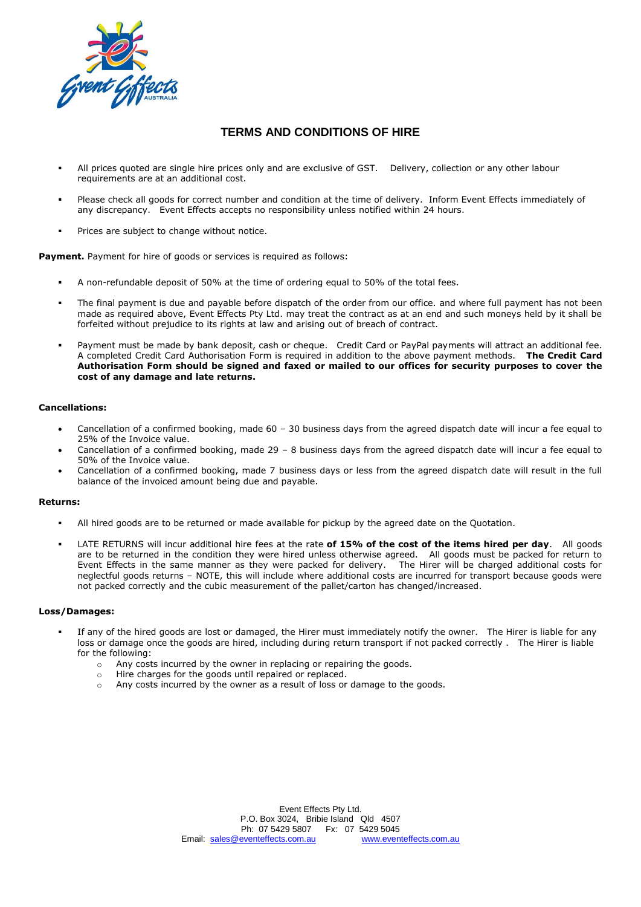

## **TERMS AND CONDITIONS OF HIRE**

- All prices quoted are single hire prices only and are exclusive of GST. Delivery, collection or any other labour requirements are at an additional cost.
- Please check all goods for correct number and condition at the time of delivery. Inform Event Effects immediately of any discrepancy. Event Effects accepts no responsibility unless notified within 24 hours.
- Prices are subject to change without notice.

**Payment.** Payment for hire of goods or services is required as follows:

- A non-refundable deposit of 50% at the time of ordering equal to 50% of the total fees.
- The final payment is due and payable before dispatch of the order from our office. and where full payment has not been made as required above, Event Effects Pty Ltd. may treat the contract as at an end and such moneys held by it shall be forfeited without prejudice to its rights at law and arising out of breach of contract.
- Payment must be made by bank deposit, cash or cheque. Credit Card or PayPal payments will attract an additional fee. A completed Credit Card Authorisation Form is required in addition to the above payment methods. **The Credit Card Authorisation Form should be signed and faxed or mailed to our offices for security purposes to cover the cost of any damage and late returns.**

### **Cancellations:**

- Cancellation of a confirmed booking, made 60 30 business days from the agreed dispatch date will incur a fee equal to 25% of the Invoice value.
- Cancellation of a confirmed booking, made 29 8 business days from the agreed dispatch date will incur a fee equal to 50% of the Invoice value.
- Cancellation of a confirmed booking, made 7 business days or less from the agreed dispatch date will result in the full balance of the invoiced amount being due and payable.

#### **Returns:**

- All hired goods are to be returned or made available for pickup by the agreed date on the Quotation.
- LATE RETURNS will incur additional hire fees at the rate **of 15% of the cost of the items hired per day**. All goods are to be returned in the condition they were hired unless otherwise agreed. All goods must be packed for return to Event Effects in the same manner as they were packed for delivery. The Hirer will be charged additional costs for neglectful goods returns – NOTE, this will include where additional costs are incurred for transport because goods were not packed correctly and the cubic measurement of the pallet/carton has changed/increased.

#### **Loss/Damages:**

- If any of the hired goods are lost or damaged, the Hirer must immediately notify the owner. The Hirer is liable for any loss or damage once the goods are hired, including during return transport if not packed correctly . The Hirer is liable for the following:
	- o Any costs incurred by the owner in replacing or repairing the goods.
	- o Hire charges for the goods until repaired or replaced.
	- o Any costs incurred by the owner as a result of loss or damage to the goods.